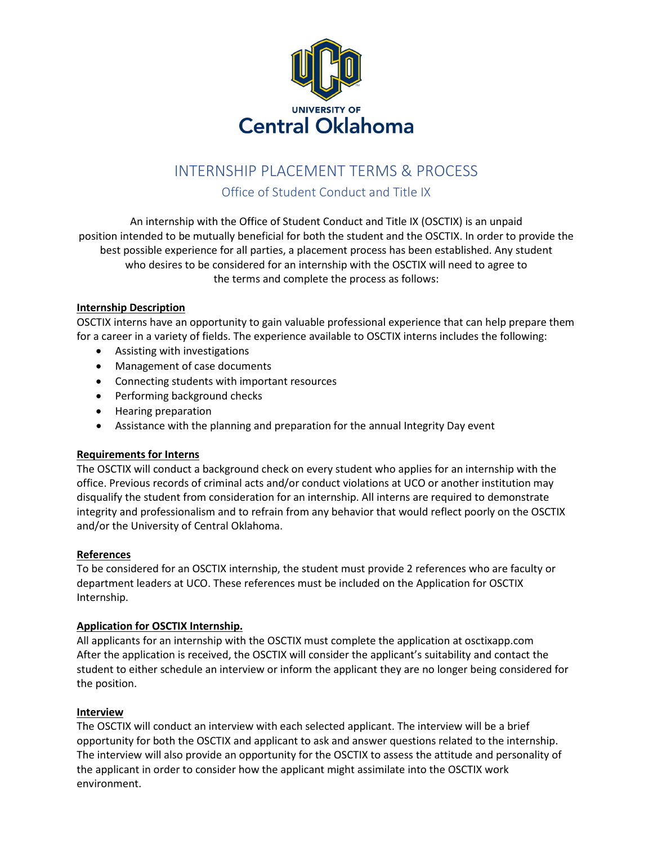

# INTERNSHIP PLACEMENT TERMS & PROCESS

# Office of Student Conduct and Title IX

An internship with the Office of Student Conduct and Title IX (OSCTIX) is an unpaid position intended to be mutually beneficial for both the student and the OSCTIX. In order to provide the best possible experience for all parties, a placement process has been established. Any student who desires to be considered for an internship with the OSCTIX will need to agree to the terms and complete the process as follows:

## **Internship Description**

OSCTIX interns have an opportunity to gain valuable professional experience that can help prepare them for a career in a variety of fields. The experience available to OSCTIX interns includes the following:

- Assisting with investigations
- Management of case documents
- Connecting students with important resources
- Performing background checks
- Hearing preparation
- Assistance with the planning and preparation for the annual Integrity Day event

#### **Requirements for Interns**

The OSCTIX will conduct a background check on every student who applies for an internship with the office. Previous records of criminal acts and/or conduct violations at UCO or another institution may disqualify the student from consideration for an internship. All interns are required to demonstrate integrity and professionalism and to refrain from any behavior that would reflect poorly on the OSCTIX and/or the University of Central Oklahoma.

#### **References**

To be considered for an OSCTIX internship, the student must provide 2 references who are faculty or department leaders at UCO. These references must be included on the Application for OSCTIX Internship.

#### **Application for OSCTIX Internship.**

All applicants for an internship with the OSCTIX must complete the application at osctixapp.com After the application is received, the OSCTIX will consider the applicant's suitability and contact the student to either schedule an interview or inform the applicant they are no longer being considered for the position.

#### **Interview**

The OSCTIX will conduct an interview with each selected applicant. The interview will be a brief opportunity for both the OSCTIX and applicant to ask and answer questions related to the internship. The interview will also provide an opportunity for the OSCTIX to assess the attitude and personality of the applicant in order to consider how the applicant might assimilate into the OSCTIX work environment.